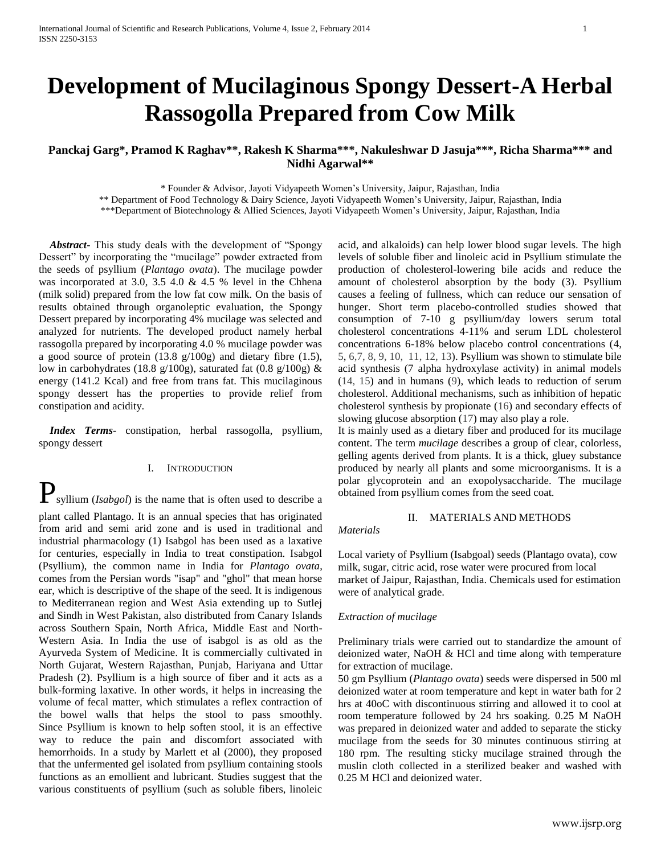# **Development of Mucilaginous Spongy Dessert-A Herbal Rassogolla Prepared from Cow Milk**

## **Panckaj Garg\*, Pramod K Raghav\*\*, Rakesh K Sharma\*\*\*, Nakuleshwar D Jasuja\*\*\*, Richa Sharma\*\*\* and Nidhi Agarwal\*\***

\* Founder & Advisor, Jayoti Vidyapeeth Women's University, Jaipur, Rajasthan, India

\*\* Department of Food Technology & Dairy Science, Jayoti Vidyapeeth Women's University, Jaipur, Rajasthan, India

\*\*\*Department of Biotechnology & Allied Sciences, Jayoti Vidyapeeth Women's University, Jaipur, Rajasthan, India

 *Abstract***-** This study deals with the development of "Spongy Dessert" by incorporating the "mucilage" powder extracted from the seeds of psyllium (*Plantago ovata*). The mucilage powder was incorporated at 3.0, 3.5 4.0 & 4.5 % level in the Chhena (milk solid) prepared from the low fat cow milk. On the basis of results obtained through organoleptic evaluation, the Spongy Dessert prepared by incorporating 4% mucilage was selected and analyzed for nutrients. The developed product namely herbal rassogolla prepared by incorporating 4.0 % mucilage powder was a good source of protein (13.8 g/100g) and dietary fibre (1.5), low in carbohydrates (18.8 g/100g), saturated fat (0.8 g/100g)  $\&$ energy (141.2 Kcal) and free from trans fat. This mucilaginous spongy dessert has the properties to provide relief from constipation and acidity.

 *Index Terms*- constipation, herbal rassogolla, psyllium, spongy dessert

## I. INTRODUCTION

**P** syllium (*Isabgol*) is the name that is often used to describe a plant called Plantago. It is an annual species that has originated from arid and semi arid zone and is used in traditional and industrial pharmacology (1) Isabgol has been used as a laxative for centuries, especially in India to treat constipation. Isabgol (Psyllium), the common name in India for *Plantago ovata*, comes from the Persian words "isap" and "ghol" that mean horse ear, which is descriptive of the shape of the seed. It is indigenous to Mediterranean region and West Asia extending up to Sutlej and Sindh in West Pakistan, also distributed from Canary Islands across Southern Spain, North Africa, Middle East and North-Western Asia. In India the use of isabgol is as old as the Ayurveda System of Medicine. It is commercially cultivated in North Gujarat, Western Rajasthan, Punjab, Hariyana and Uttar Pradesh (2). Psyllium is a high source of fiber and it acts as a bulk-forming laxative. In other words, it helps in increasing the volume of fecal matter, which stimulates a reflex contraction of the bowel walls that helps the stool to pass smoothly. Since Psyllium is known to help soften stool, it is an effective way to reduce the pain and discomfort associated with hemorrhoids. In a study by Marlett et al (2000), they proposed that the unfermented gel isolated from psyllium containing stools functions as an emollient and lubricant. Studies suggest that the various constituents of psyllium (such as soluble fibers, linoleic

acid, and alkaloids) can help lower blood sugar levels. The high levels of soluble fiber and linoleic acid in Psyllium stimulate the production of cholesterol-lowering bile acids and reduce the amount of cholesterol absorption by the body (3). Psyllium causes a feeling of fullness, which can reduce our sensation of hunger. Short term placebo-controlled studies showed that consumption of 7-10 g psyllium/day lowers serum total cholesterol concentrations 4-11% and serum LDL cholesterol concentrations 6-18% below placebo control concentrations (4, 5, 6,7, 8, 9, 10, 11, 12, 13). Psyllium was shown to stimulate bile acid synthesis (7 alpha hydroxylase activity) in animal models (14, 15) and in humans (9), which leads to reduction of serum cholesterol. Additional mechanisms, such as inhibition of hepatic cholesterol synthesis by propionate (16) and secondary effects of slowing glucose absorption (17) may also play a role.

It is mainly used as a [dietary fiber](http://en.wikipedia.org/wiki/Dietary_fiber) and produced for its [mucilage](http://en.wikipedia.org/wiki/Mucilage) content. The term *mucilage* describes a group of clear, colorless, gelling agents derived from plants. It is a thick, gluey substance produced by nearly all plants and some microorganisms. It is a [polar](http://en.wikipedia.org/wiki/Chemical_polarity) [glycoprotein](http://en.wikipedia.org/wiki/Glycoprotein) and an [exopolysaccharide.](http://en.wikipedia.org/wiki/Exopolysaccharide) The mucilage obtained from psyllium comes from the seed coat.

## II. MATERIALS AND METHODS

*Materials*

Local variety of Psyllium (Isabgoal) seeds (Plantago ovata), cow milk, sugar, citric acid, rose water were procured from local market of Jaipur, Rajasthan, India. Chemicals used for estimation were of analytical grade.

#### *Extraction of mucilage*

Preliminary trials were carried out to standardize the amount of deionized water, NaOH & HCl and time along with temperature for extraction of mucilage.

50 gm Psyllium (*Plantago ovata*) seeds were dispersed in 500 ml deionized water at room temperature and kept in water bath for 2 hrs at 40oC with discontinuous stirring and allowed it to cool at room temperature followed by 24 hrs soaking. 0.25 M NaOH was prepared in deionized water and added to separate the sticky mucilage from the seeds for 30 minutes continuous stirring at 180 rpm. The resulting sticky mucilage strained through the muslin cloth collected in a sterilized beaker and washed with 0.25 M HCl and deionized water.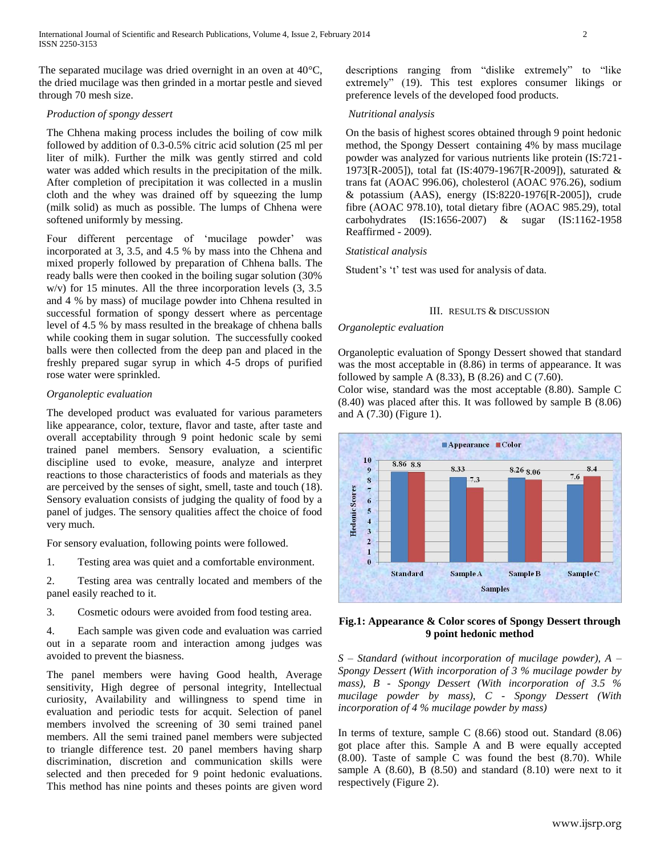The separated mucilage was dried overnight in an oven at 40°C, the dried mucilage was then grinded in a mortar pestle and sieved through 70 mesh size.

#### *Production of spongy dessert*

The Chhena making process includes the boiling of cow milk followed by addition of 0.3-0.5% citric acid solution (25 ml per liter of milk). Further the milk was gently stirred and cold water was added which results in the precipitation of the milk. After completion of precipitation it was collected in a muslin cloth and the whey was drained off by squeezing the lump (milk solid) as much as possible. The lumps of Chhena were softened uniformly by messing.

Four different percentage of 'mucilage powder' was incorporated at 3, 3.5, and 4.5 % by mass into the Chhena and mixed properly followed by preparation of Chhena balls. The ready balls were then cooked in the boiling sugar solution (30% w/v) for 15 minutes. All the three incorporation levels (3, 3.5 and 4 % by mass) of mucilage powder into Chhena resulted in successful formation of spongy dessert where as percentage level of 4.5 % by mass resulted in the breakage of chhena balls while cooking them in sugar solution. The successfully cooked balls were then collected from the deep pan and placed in the freshly prepared sugar syrup in which 4-5 drops of purified rose water were sprinkled.

#### *Organoleptic evaluation*

The developed product was evaluated for various parameters like appearance, color, texture, flavor and taste, after taste and overall acceptability through 9 point hedonic scale by semi trained panel members. Sensory evaluation, a scientific discipline used to evoke, measure, analyze and interpret reactions to those characteristics of foods and materials as they are perceived by the senses of sight, smell, taste and touch (18). Sensory evaluation consists of judging the quality of food by a panel of judges. The sensory qualities affect the choice of food very much.

For sensory evaluation, following points were followed.

1. Testing area was quiet and a comfortable environment.

2. Testing area was centrally located and members of the panel easily reached to it.

3. Cosmetic odours were avoided from food testing area.

4. Each sample was given code and evaluation was carried out in a separate room and interaction among judges was avoided to prevent the biasness.

The panel members were having Good health, Average sensitivity, High degree of personal integrity, Intellectual curiosity, Availability and willingness to spend time in evaluation and periodic tests for acquit. Selection of panel members involved the screening of 30 semi trained panel members. All the semi trained panel members were subjected to triangle difference test. 20 panel members having sharp discrimination, discretion and communication skills were selected and then preceded for 9 point hedonic evaluations. This method has nine points and theses points are given word descriptions ranging from "dislike extremely" to "like extremely" (19). This test explores consumer likings or preference levels of the developed food products.

#### *Nutritional analysis*

On the basis of highest scores obtained through 9 point hedonic method, the Spongy Dessert containing 4% by mass mucilage powder was analyzed for various nutrients like protein (IS:721- 1973[R-2005]), total fat (IS:4079-1967[R-2009]), saturated & trans fat (AOAC 996.06), cholesterol (AOAC 976.26), sodium & potassium (AAS), energy (IS:8220-1976[R-2005]), crude fibre (AOAC 978.10), total dietary fibre (AOAC 985.29), total carbohydrates (IS:1656-2007) & sugar (IS:1162-1958 Reaffirmed - 2009).

#### *Statistical analysis*

Student's 't' test was used for analysis of data.

#### III. RESULTS & DISCUSSION

### *Organoleptic evaluation*

Organoleptic evaluation of Spongy Dessert showed that standard was the most acceptable in (8.86) in terms of appearance. It was followed by sample A  $(8.33)$ , B  $(8.26)$  and C  $(7.60)$ .

Color wise, standard was the most acceptable (8.80). Sample C (8.40) was placed after this. It was followed by sample B (8.06) and A (7.30) (Figure 1).



### **Fig.1: Appearance & Color scores of Spongy Dessert through 9 point hedonic method**

*S – Standard (without incorporation of mucilage powder), A – Spongy Dessert (With incorporation of 3 % mucilage powder by mass), B - Spongy Dessert (With incorporation of 3.5 % mucilage powder by mass), C - Spongy Dessert (With incorporation of 4 % mucilage powder by mass)*

In terms of texture, sample C (8.66) stood out. Standard (8.06) got place after this. Sample A and B were equally accepted (8.00). Taste of sample C was found the best (8.70). While sample A  $(8.60)$ , B  $(8.50)$  and standard  $(8.10)$  were next to it respectively (Figure 2).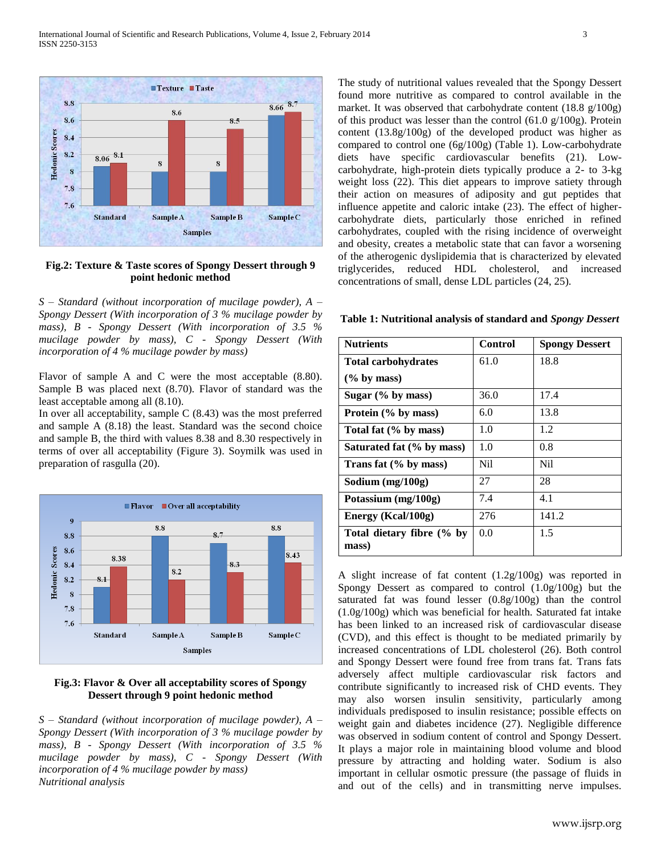

## **Fig.2: Texture & Taste scores of Spongy Dessert through 9 point hedonic method**

*S – Standard (without incorporation of mucilage powder), A – Spongy Dessert (With incorporation of 3 % mucilage powder by mass), B - Spongy Dessert (With incorporation of 3.5 % mucilage powder by mass), C - Spongy Dessert (With incorporation of 4 % mucilage powder by mass)*

Flavor of sample A and C were the most acceptable (8.80). Sample B was placed next (8.70). Flavor of standard was the least acceptable among all (8.10).

In over all acceptability, sample  $C(8.43)$  was the most preferred and sample A (8.18) the least. Standard was the second choice and sample B, the third with values 8.38 and 8.30 respectively in terms of over all acceptability (Figure 3). Soymilk was used in preparation of rasgulla (20).



#### **Fig.3: Flavor & Over all acceptability scores of Spongy Dessert through 9 point hedonic method**

*S – Standard (without incorporation of mucilage powder), A – Spongy Dessert (With incorporation of 3 % mucilage powder by mass), B - Spongy Dessert (With incorporation of 3.5 % mucilage powder by mass), C - Spongy Dessert (With incorporation of 4 % mucilage powder by mass) Nutritional analysis*

The study of nutritional values revealed that the Spongy Dessert found more nutritive as compared to control available in the market. It was observed that carbohydrate content (18.8 g/100g) of this product was lesser than the control  $(61.0 \text{ g}/100 \text{ g})$ . Protein content (13.8g/100g) of the developed product was higher as compared to control one (6g/100g) (Table 1). Low-carbohydrate diets have specific cardiovascular benefits (21). Lowcarbohydrate, high-protein diets typically produce a 2- to 3-kg weight loss (22). This diet appears to improve satiety through their action on measures of adiposity and gut peptides that influence appetite and caloric intake (23). The effect of highercarbohydrate diets, particularly those enriched in refined carbohydrates, coupled with the rising incidence of overweight and obesity, creates a metabolic state that can favor a worsening of the atherogenic dyslipidemia that is characterized by elevated triglycerides, reduced HDL cholesterol, and increased concentrations of small, dense LDL particles (24, 25).

| <b>Nutrients</b>                   | <b>Control</b> | <b>Spongy Dessert</b> |
|------------------------------------|----------------|-----------------------|
| <b>Total carbohydrates</b>         | 61.0           | 18.8                  |
| $(\%$ by mass)                     |                |                       |
| Sugar $(\%$ by mass)               | 36.0           | 17.4                  |
| Protein (% by mass)                | 6.0            | 13.8                  |
| Total fat (% by mass)              | 1.0            | 1.2                   |
| Saturated fat (% by mass)          | 1.0            | 0.8                   |
| Trans fat (% by mass)              | Nil.           | Nil                   |
| Sodium $(mg/100g)$                 | 27             | 28                    |
| Potassium (mg/100g)                | 7.4            | 4.1                   |
| Energy (Kcal/100g)                 | 276            | 141.2                 |
| Total dietary fibre (% by<br>mass) | 0.0            | 1.5                   |

**Table 1: Nutritional analysis of standard and** *Spongy Dessert*

A slight increase of fat content (1.2g/100g) was reported in Spongy Dessert as compared to control (1.0g/100g) but the saturated fat was found lesser (0.8g/100g) than the control (1.0g/100g) which was beneficial for health. Saturated fat intake has been linked to an increased risk of cardiovascular disease (CVD), and this effect is thought to be mediated primarily by increased concentrations of LDL cholesterol (26). Both control and Spongy Dessert were found free from trans fat. Trans fats adversely affect multiple cardiovascular risk factors and contribute significantly to increased risk of CHD events. They may also worsen insulin sensitivity, particularly among individuals predisposed to insulin resistance; possible effects on weight gain and diabetes incidence (27). Negligible difference was observed in sodium content of control and Spongy Dessert. It plays a major role in maintaining blood volume and blood pressure by attracting and holding water. Sodium is also important in cellular osmotic pressure (the passage of fluids in and out of the cells) and in transmitting nerve impulses.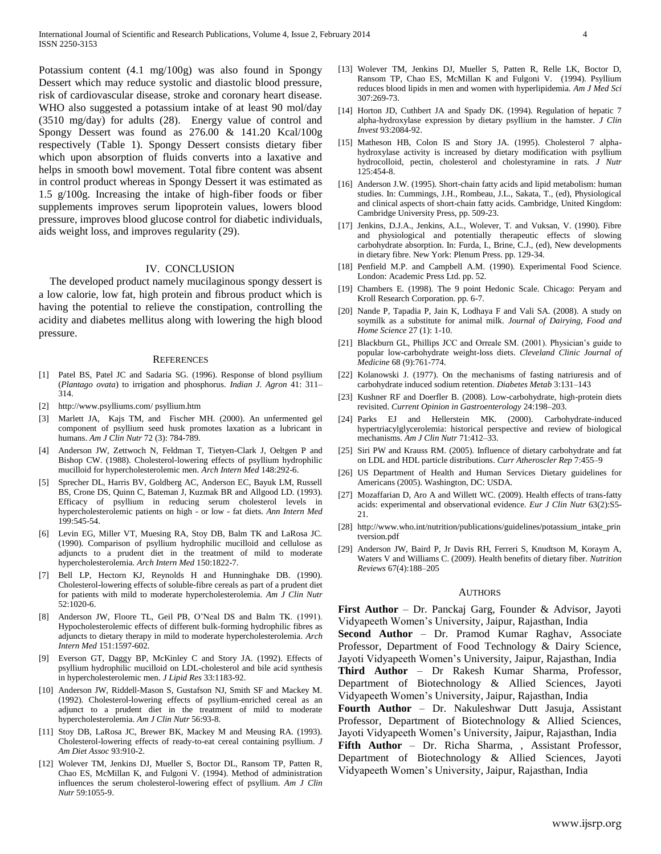Potassium content (4.1 mg/100g) was also found in Spongy Dessert which may reduce systolic and diastolic blood pressure, risk of cardiovascular disease, stroke and coronary heart disease. WHO also suggested a potassium intake of at least 90 mol/day (3510 mg/day) for adults (28). Energy value of control and Spongy Dessert was found as 276.00 & 141.20 Kcal/100g respectively (Table 1). Spongy Dessert consists dietary fiber which upon absorption of fluids converts into a laxative and helps in smooth bowl movement. Total fibre content was absent in control product whereas in Spongy Dessert it was estimated as 1.5 g/100g. Increasing the intake of high-fiber foods or fiber supplements improves serum lipoprotein values, lowers blood pressure, improves blood glucose control for diabetic individuals, aids weight loss, and improves regularity (29).

#### IV. CONCLUSION

The developed product namely mucilaginous spongy dessert is a low calorie, low fat, high protein and fibrous product which is having the potential to relieve the constipation, controlling the acidity and diabetes mellitus along with lowering the high blood pressure.

#### **REFERENCES**

- [1] Patel BS, Patel JC and Sadaria SG. (1996). Response of blond psyllium (*Plantago ovata*) to irrigation and phosphorus. *Indian J. Agron* 41: 311– 314.
- [2] <http://www.psylliums.com/> psyllium.htm
- [3] [Marlett](http://ajcn.nutrition.org/search?author1=Judith+A+Marlett&sortspec=date&submit=Submit) JA, [Kajs](http://ajcn.nutrition.org/search?author1=Theresa+M+Kajs&sortspec=date&submit=Submit) TM, and [Fischer](http://ajcn.nutrition.org/search?author1=Milton+H+Fischer&sortspec=date&submit=Submit) MH. (2000). An unfermented gel component of psyllium seed husk promotes laxation as a lubricant in humans. *Am J Clin Nutr* 72 (3): 784-789.
- [4] Anderson JW, Zettwoch N, Feldman T, Tietyen-Clark J, Oeltgen P and Bishop CW. (1988). Cholesterol-lowering effects of psyllium hydrophilic mucilloid for hypercholesterolemic men. *Arch Intern Med* 148:292-6.
- [5] Sprecher DL, Harris BV, Goldberg AC, Anderson EC, Bayuk LM, Russell BS, Crone DS, Quinn C, Bateman J, Kuzmak BR and Allgood LD. (1993). Efficacy of psyllium in reducing serum cholesterol levels in hypercholesterolemic patients on high - or low - fat diets. *Ann Intern Med* 199:545-54.
- [6] Levin EG, Miller VT, Muesing RA, Stoy DB, Balm TK and LaRosa JC. (1990). Comparison of psyllium hydrophilic mucilloid and cellulose as adjuncts to a prudent diet in the treatment of mild to moderate hypercholesterolemia. *Arch Intern Med* 150:1822-7.
- [7] Bell LP, Hectorn KJ, Reynolds H and Hunninghake DB. (1990). Cholesterol-lowering effects of soluble-fibre cereals as part of a prudent diet for patients with mild to moderate hypercholesterolemia. *Am J Clin Nutr* 52:1020-6.
- [8] Anderson JW, Floore TL, Geil PB, O'Neal DS and Balm TK. (1991). Hypocholesterolemic effects of different bulk-forming hydrophilic fibres as adjuncts to dietary therapy in mild to moderate hypercholesterolemia. *Arch Intern Med* 151:1597-602.
- [9] Everson GT, Daggy BP, McKinley C and Story JA. (1992). Effects of psyllium hydrophilic mucilloid on LDL-cholesterol and bile acid synthesis in hypercholesterolemic men. *J Lipid Res* 33:1183-92.
- [10] Anderson JW, Riddell-Mason S, Gustafson NJ, Smith SF and Mackey M. (1992). Cholesterol-lowering effects of psyllium-enriched cereal as an adjunct to a prudent diet in the treatment of mild to moderate hypercholesterolemia. *Am J Clin Nutr* 56:93-8.
- [11] Stoy DB, LaRosa JC, Brewer BK, Mackey M and Meusing RA. (1993). Cholesterol-lowering effects of ready-to-eat cereal containing psyllium. *J Am Diet Assoc* 93:910-2.
- [12] Wolever TM, Jenkins DJ, Mueller S, Boctor DL, Ransom TP, Patten R, Chao ES, McMillan K, and Fulgoni V. (1994). Method of administration influences the serum cholesterol-lowering effect of psyllium. *Am J Clin Nutr* 59:1055-9.
- [13] Wolever TM, Jenkins DJ, Mueller S, Patten R, Relle LK, Boctor D, Ransom TP, Chao ES, McMillan K and Fulgoni V. (1994). Psyllium reduces blood lipids in men and women with hyperlipidemia*. Am J Med Sci* 307:269-73.
- [14] Horton JD, Cuthbert JA and Spady DK. (1994). Regulation of hepatic 7 alpha-hydroxylase expression by dietary psyllium in the hamster. *J Clin Invest* 93:2084-92.
- [15] Matheson HB, Colon IS and Story JA. (1995). Cholesterol 7 alphahydroxylase activity is increased by dietary modification with psyllium hydrocolloid, pectin, cholesterol and cholestyramine in rats. *J Nutr* 125:454-8.
- [16] Anderson J.W. (1995). Short-chain fatty acids and lipid metabolism: human studies. In: Cummings, J.H., Rombeau, J.L., Sakata, T., (ed), Physiological and clinical aspects of short-chain fatty acids. Cambridge, United Kingdom: Cambridge University Press, pp. 509-23.
- [17] Jenkins, D.J.A., Jenkins, A.L., Wolever, T. and Vuksan, V. (1990). Fibre and physiological and potentially therapeutic effects of slowing carbohydrate absorption. In: Furda, I., Brine, C.J., (ed), New developments in dietary fibre. New York: Plenum Press. pp. 129-34.
- [18] Penfield M.P. and Campbell A.M. (1990). Experimental Food Science. London: Academic Press Ltd. pp. 52.
- [19] Chambers E. (1998). The 9 point Hedonic Scale. Chicago: Peryam and Kroll Research Corporation. pp. 6-7.
- [20] Nande P, Tapadia P, Jain K, Lodhaya F and Vali SA. (2008). A study on soymilk as a substitute for animal milk. *Journal of Dairying, Food and Home Science* 27 (1): 1-10.
- [21] Blackburn GL, Phillips JCC and Orreale SM. (2001). Physician's guide to popular low-carbohydrate weight-loss diets. *Cleveland Clinic Journal of Medicine* 68 (9):761-774.
- [22] Kolanowski J. (1977). On the mechanisms of fasting natriuresis and of carbohydrate induced sodium retention. *Diabetes Metab* 3:131–143
- [23] Kushner RF and Doerfler B. (2008). Low-carbohydrate, high-protein diets revisited. *Current Opinion in Gastroenterology* 24:198–203.
- [24] Parks EJ and Hellerstein MK. (2000). Carbohydrate-induced hypertriacylglycerolemia: historical perspective and review of biological mechanisms. *Am J Clin Nutr* 71:412–33.
- [25] Siri PW and Krauss RM. (2005). Influence of dietary carbohydrate and fat on LDL and HDL particle distributions. *Curr Atheroscler Rep* 7:455–9
- [26] US Department of Health and Human Services Dietary guidelines for Americans (2005). Washington, DC: USDA.
- [27] [Mozaffarian D,](http://www.ncbi.nlm.nih.gov/pubmed?term=Mozaffarian%20D%5BAuthor%5D&cauthor=true&cauthor_uid=19424218) [Aro A](http://www.ncbi.nlm.nih.gov/pubmed?term=Aro%20A%5BAuthor%5D&cauthor=true&cauthor_uid=19424218) an[d Willett WC.](http://www.ncbi.nlm.nih.gov/pubmed?term=Willett%20WC%5BAuthor%5D&cauthor=true&cauthor_uid=19424218) (2009). Health effects of trans-fatty acids: experimental and observational evidence. *Eur J Clin Nutr* 63(2):S5- 21.
- [28] [http://www.who.int/nutrition/publications/guidelines/potassium\\_intake\\_prin](http://www.who.int/nutrition/publications/guidelines/potassium_intake_printversion.pdf) [tversion.pdf](http://www.who.int/nutrition/publications/guidelines/potassium_intake_printversion.pdf)
- [29] Anderson JW, Baird P, Jr Davis RH, Ferreri S, Knudtson M, Koraym A, Waters V and Williams C. (2009). Health benefits of dietary fiber. *Nutrition Reviews* 67(4):188–205

#### AUTHORS

**First Author** – Dr. Panckaj Garg, Founder & Advisor, Jayoti Vidyapeeth Women's University, Jaipur, Rajasthan, India

**Second Author** – Dr. Pramod Kumar Raghav, Associate Professor, Department of Food Technology & Dairy Science, Jayoti Vidyapeeth Women's University, Jaipur, Rajasthan, India **Third Author** – Dr Rakesh Kumar Sharma, Professor, Department of Biotechnology & Allied Sciences, Jayoti Vidyapeeth Women's University, Jaipur, Rajasthan, India

**Fourth Author** – Dr. Nakuleshwar Dutt Jasuja, Assistant Professor, Department of Biotechnology & Allied Sciences, Jayoti Vidyapeeth Women's University, Jaipur, Rajasthan, India **Fifth Author** – Dr. Richa Sharma, , Assistant Professor, Department of Biotechnology & Allied Sciences, Jayoti Vidyapeeth Women's University, Jaipur, Rajasthan, India